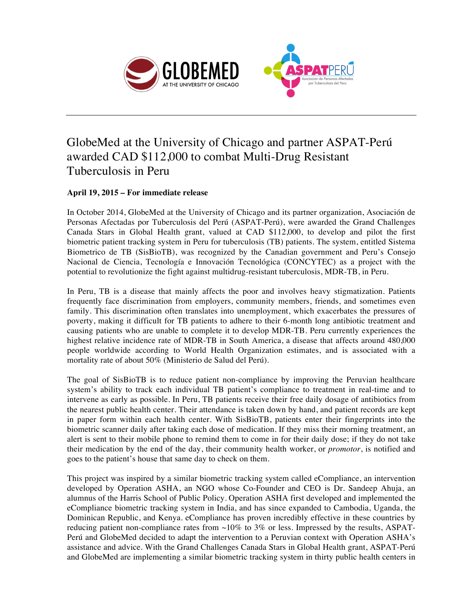



## GlobeMed at the University of Chicago and partner ASPAT-Perú awarded CAD \$112,000 to combat Multi-Drug Resistant Tuberculosis in Peru

## **April 19, 2015 – For immediate release**

In October 2014, GlobeMed at the University of Chicago and its partner organization, Asociación de Personas Afectadas por Tuberculosis del Perú (ASPAT-Perú), were awarded the Grand Challenges Canada Stars in Global Health grant, valued at CAD \$112,000, to develop and pilot the first biometric patient tracking system in Peru for tuberculosis (TB) patients. The system, entitled Sistema Biometrico de TB (SisBioTB), was recognized by the Canadian government and Peru's Consejo Nacional de Ciencia, Tecnología e Innovación Tecnológica (CONCYTEC) as a project with the potential to revolutionize the fight against multidrug-resistant tuberculosis, MDR-TB, in Peru.

In Peru, TB is a disease that mainly affects the poor and involves heavy stigmatization. Patients frequently face discrimination from employers, community members, friends, and sometimes even family. This discrimination often translates into unemployment, which exacerbates the pressures of poverty, making it difficult for TB patients to adhere to their 6-month long antibiotic treatment and causing patients who are unable to complete it to develop MDR-TB. Peru currently experiences the highest relative incidence rate of MDR-TB in South America, a disease that affects around 480,000 people worldwide according to World Health Organization estimates, and is associated with a mortality rate of about 50% (Ministerio de Salud del Perú).

The goal of SisBioTB is to reduce patient non-compliance by improving the Peruvian healthcare system's ability to track each individual TB patient's compliance to treatment in real-time and to intervene as early as possible. In Peru, TB patients receive their free daily dosage of antibiotics from the nearest public health center. Their attendance is taken down by hand, and patient records are kept in paper form within each health center. With SisBioTB, patients enter their fingerprints into the biometric scanner daily after taking each dose of medication. If they miss their morning treatment, an alert is sent to their mobile phone to remind them to come in for their daily dose; if they do not take their medication by the end of the day, their community health worker, or *promotor*, is notified and goes to the patient's house that same day to check on them.

This project was inspired by a similar biometric tracking system called eCompliance, an intervention developed by Operation ASHA, an NGO whose Co-Founder and CEO is Dr. Sandeep Ahuja, an alumnus of the Harris School of Public Policy. Operation ASHA first developed and implemented the eCompliance biometric tracking system in India, and has since expanded to Cambodia, Uganda, the Dominican Republic, and Kenya. eCompliance has proven incredibly effective in these countries by reducing patient non-compliance rates from ~10% to 3% or less. Impressed by the results, ASPAT-Perú and GlobeMed decided to adapt the intervention to a Peruvian context with Operation ASHA's assistance and advice. With the Grand Challenges Canada Stars in Global Health grant, ASPAT-Perú and GlobeMed are implementing a similar biometric tracking system in thirty public health centers in